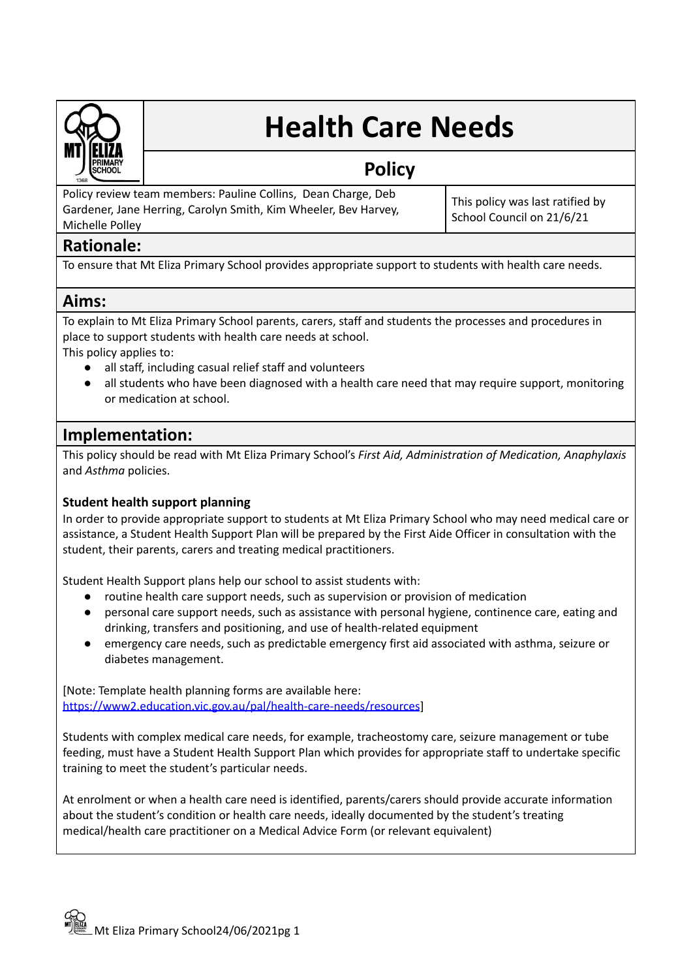

# **Health Care Needs**

## **Policy**

Policy review team members: Pauline Collins, Dean Charge, Deb Gardener, Jane Herring, Carolyn Smith, Kim Wheeler, Bev Harvey, Michelle Polley

This policy was last ratified by School Council on 21/6/21

## **Rationale:**

To ensure that Mt Eliza Primary School provides appropriate support to students with health care needs.

## **Aims:**

To explain to Mt Eliza Primary School parents, carers, staff and students the processes and procedures in place to support students with health care needs at school.

This policy applies to:

- all staff, including casual relief staff and volunteers
- all students who have been diagnosed with a health care need that may require support, monitoring or medication at school.

## **Implementation:**

This policy should be read with Mt Eliza Primary School's *First Aid, Administration of Medication, Anaphylaxis* and *Asthma* policies.

### **Student health support planning**

In order to provide appropriate support to students at Mt Eliza Primary School who may need medical care or assistance, a Student Health Support Plan will be prepared by the First Aide Officer in consultation with the student, their parents, carers and treating medical practitioners.

Student Health Support plans help our school to assist students with:

- routine health care support needs, such as supervision or provision of medication
- personal care support needs, such as assistance with personal hygiene, continence care, eating and drinking, transfers and positioning, and use of health-related equipment
- emergency care needs, such as predictable emergency first aid associated with asthma, seizure or diabetes management.

[Note: Template health planning forms are available here: <https://www2.education.vic.gov.au/pal/health-care-needs/resources>]

Students with complex medical care needs, for example, tracheostomy care, seizure management or tube feeding, must have a Student Health Support Plan which provides for appropriate staff to undertake specific training to meet the student's particular needs.

At enrolment or when a health care need is identified, parents/carers should provide accurate information about the student's condition or health care needs, ideally documented by the student's treating medical/health care practitioner on a Medical Advice Form (or relevant equivalent)